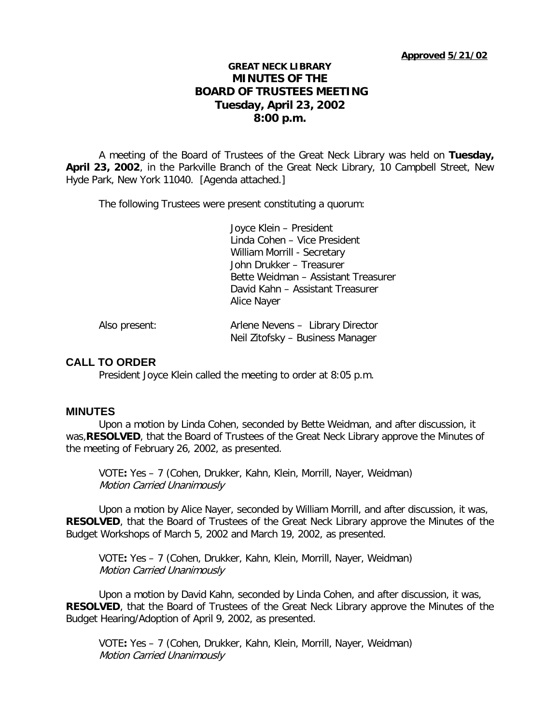# **GREAT NECK LIBRARY MINUTES OF THE BOARD OF TRUSTEES MEETING Tuesday, April 23, 2002 8:00 p.m.**

A meeting of the Board of Trustees of the Great Neck Library was held on **Tuesday, April 23, 2002**, in the Parkville Branch of the Great Neck Library, 10 Campbell Street, New Hyde Park, New York 11040. [Agenda attached.]

The following Trustees were present constituting a quorum:

Joyce Klein – President Linda Cohen – Vice President William Morrill - Secretary John Drukker – Treasurer Bette Weidman – Assistant Treasurer David Kahn – Assistant Treasurer Alice Nayer

| Also present: | Arlene Nevens - Library Director |
|---------------|----------------------------------|
|               | Neil Zitofsky – Business Manager |

# **CALL TO ORDER**

President Joyce Klein called the meeting to order at 8:05 p.m.

# **MINUTES**

Upon a motion by Linda Cohen, seconded by Bette Weidman, and after discussion, it was,**RESOLVED**, that the Board of Trustees of the Great Neck Library approve the Minutes of the meeting of February 26, 2002, as presented.

VOTE**:** Yes – 7 (Cohen, Drukker, Kahn, Klein, Morrill, Nayer, Weidman) Motion Carried Unanimously

Upon a motion by Alice Nayer, seconded by William Morrill, and after discussion, it was, **RESOLVED**, that the Board of Trustees of the Great Neck Library approve the Minutes of the Budget Workshops of March 5, 2002 and March 19, 2002, as presented.

VOTE**:** Yes – 7 (Cohen, Drukker, Kahn, Klein, Morrill, Nayer, Weidman) Motion Carried Unanimously

Upon a motion by David Kahn, seconded by Linda Cohen, and after discussion, it was, **RESOLVED**, that the Board of Trustees of the Great Neck Library approve the Minutes of the Budget Hearing/Adoption of April 9, 2002, as presented.

VOTE**:** Yes – 7 (Cohen, Drukker, Kahn, Klein, Morrill, Nayer, Weidman) Motion Carried Unanimously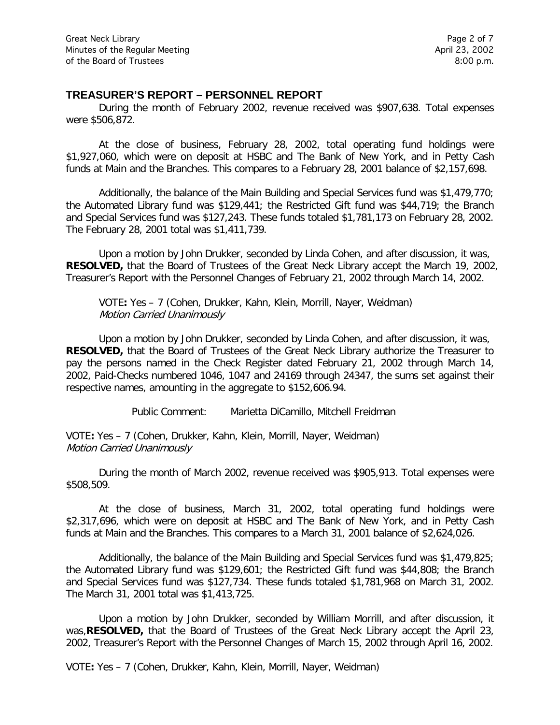### **TREASURER'S REPORT – PERSONNEL REPORT**

During the month of February 2002, revenue received was \$907,638. Total expenses were \$506,872.

At the close of business, February 28, 2002, total operating fund holdings were \$1,927,060, which were on deposit at HSBC and The Bank of New York, and in Petty Cash funds at Main and the Branches. This compares to a February 28, 2001 balance of \$2,157,698.

Additionally, the balance of the Main Building and Special Services fund was \$1,479,770; the Automated Library fund was \$129,441; the Restricted Gift fund was \$44,719; the Branch and Special Services fund was \$127,243. These funds totaled \$1,781,173 on February 28, 2002. The February 28, 2001 total was \$1,411,739.

Upon a motion by John Drukker, seconded by Linda Cohen, and after discussion, it was, **RESOLVED,** that the Board of Trustees of the Great Neck Library accept the March 19, 2002, Treasurer's Report with the Personnel Changes of February 21, 2002 through March 14, 2002.

VOTE**:** Yes – 7 (Cohen, Drukker, Kahn, Klein, Morrill, Nayer, Weidman) Motion Carried Unanimously

Upon a motion by John Drukker, seconded by Linda Cohen, and after discussion, it was, **RESOLVED,** that the Board of Trustees of the Great Neck Library authorize the Treasurer to pay the persons named in the Check Register dated February 21, 2002 through March 14, 2002, Paid-Checks numbered 1046, 1047 and 24169 through 24347, the sums set against their respective names, amounting in the aggregate to \$152,606.94.

Public Comment: Marietta DiCamillo, Mitchell Freidman

VOTE**:** Yes – 7 (Cohen, Drukker, Kahn, Klein, Morrill, Nayer, Weidman) Motion Carried Unanimously

During the month of March 2002, revenue received was \$905,913. Total expenses were \$508,509.

At the close of business, March 31, 2002, total operating fund holdings were \$2,317,696, which were on deposit at HSBC and The Bank of New York, and in Petty Cash funds at Main and the Branches. This compares to a March 31, 2001 balance of \$2,624,026.

Additionally, the balance of the Main Building and Special Services fund was \$1,479,825; the Automated Library fund was \$129,601; the Restricted Gift fund was \$44,808; the Branch and Special Services fund was \$127,734. These funds totaled \$1,781,968 on March 31, 2002. The March 31, 2001 total was \$1,413,725.

Upon a motion by John Drukker, seconded by William Morrill, and after discussion, it was,**RESOLVED,** that the Board of Trustees of the Great Neck Library accept the April 23, 2002, Treasurer's Report with the Personnel Changes of March 15, 2002 through April 16, 2002.

VOTE**:** Yes – 7 (Cohen, Drukker, Kahn, Klein, Morrill, Nayer, Weidman)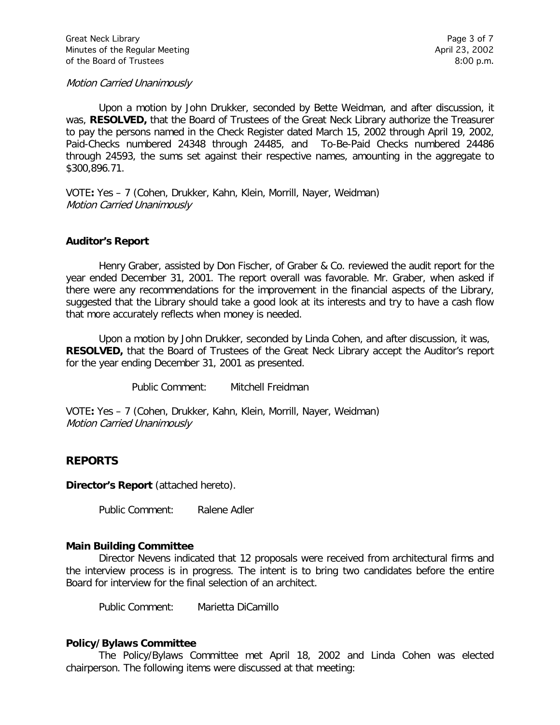Motion Carried Unanimously

Upon a motion by John Drukker, seconded by Bette Weidman, and after discussion, it was, **RESOLVED,** that the Board of Trustees of the Great Neck Library authorize the Treasurer to pay the persons named in the Check Register dated March 15, 2002 through April 19, 2002, Paid-Checks numbered 24348 through 24485, and To-Be-Paid Checks numbered 24486 through 24593, the sums set against their respective names, amounting in the aggregate to \$300,896.71.

VOTE**:** Yes – 7 (Cohen, Drukker, Kahn, Klein, Morrill, Nayer, Weidman) Motion Carried Unanimously

### **Auditor's Report**

Henry Graber, assisted by Don Fischer, of Graber & Co. reviewed the audit report for the year ended December 31, 2001. The report overall was favorable. Mr. Graber, when asked if there were any recommendations for the improvement in the financial aspects of the Library, suggested that the Library should take a good look at its interests and try to have a cash flow that more accurately reflects when money is needed.

Upon a motion by John Drukker, seconded by Linda Cohen, and after discussion, it was, **RESOLVED,** that the Board of Trustees of the Great Neck Library accept the Auditor's report for the year ending December 31, 2001 as presented.

Public Comment: Mitchell Freidman

VOTE**:** Yes – 7 (Cohen, Drukker, Kahn, Klein, Morrill, Nayer, Weidman) Motion Carried Unanimously

# **REPORTS**

**Director's Report** (attached hereto).

Public Comment: Ralene Adler

#### **Main Building Committee**

Director Nevens indicated that 12 proposals were received from architectural firms and the interview process is in progress. The intent is to bring two candidates before the entire Board for interview for the final selection of an architect.

Public Comment: Marietta DiCamillo

#### **Policy/Bylaws Committee**

The Policy/Bylaws Committee met April 18, 2002 and Linda Cohen was elected chairperson. The following items were discussed at that meeting: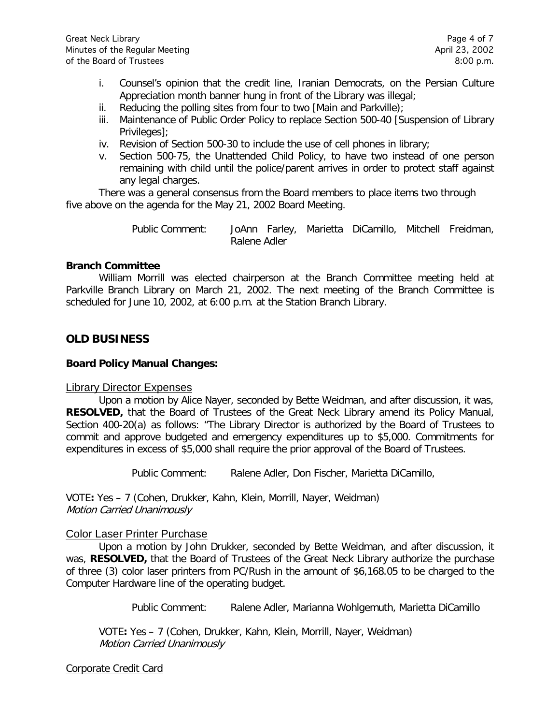- i. Counsel's opinion that the credit line, Iranian Democrats, on the Persian Culture Appreciation month banner hung in front of the Library was illegal;
- ii. Reducing the polling sites from four to two [Main and Parkville);
- iii. Maintenance of Public Order Policy to replace Section 500-40 [Suspension of Library Privileges];
- iv. Revision of Section 500-30 to include the use of cell phones in library;
- v. Section 500-75, the Unattended Child Policy, to have two instead of one person remaining with child until the police/parent arrives in order to protect staff against any legal charges.

There was a general consensus from the Board members to place items two through five above on the agenda for the May 21, 2002 Board Meeting.

> Public Comment: JoAnn Farley, Marietta DiCamillo, Mitchell Freidman, Ralene Adler

#### **Branch Committee**

William Morrill was elected chairperson at the Branch Committee meeting held at Parkville Branch Library on March 21, 2002. The next meeting of the Branch Committee is scheduled for June 10, 2002, at 6:00 p.m. at the Station Branch Library.

# **OLD BUSINESS**

### **Board Policy Manual Changes:**

# Library Director Expenses

Upon a motion by Alice Nayer, seconded by Bette Weidman, and after discussion, it was, **RESOLVED,** that the Board of Trustees of the Great Neck Library amend its Policy Manual, Section 400-20(a) as follows: "The Library Director is authorized by the Board of Trustees to commit and approve budgeted and emergency expenditures up to \$5,000. Commitments for expenditures in excess of \$5,000 shall require the prior approval of the Board of Trustees.

Public Comment: Ralene Adler, Don Fischer, Marietta DiCamillo,

VOTE**:** Yes – 7 (Cohen, Drukker, Kahn, Klein, Morrill, Nayer, Weidman) Motion Carried Unanimously

# Color Laser Printer Purchase

Upon a motion by John Drukker, seconded by Bette Weidman, and after discussion, it was, **RESOLVED,** that the Board of Trustees of the Great Neck Library authorize the purchase of three (3) color laser printers from PC/Rush in the amount of \$6,168.05 to be charged to the Computer Hardware line of the operating budget.

Public Comment: Ralene Adler, Marianna Wohlgemuth, Marietta DiCamillo

VOTE**:** Yes – 7 (Cohen, Drukker, Kahn, Klein, Morrill, Nayer, Weidman) Motion Carried Unanimously

#### Corporate Credit Card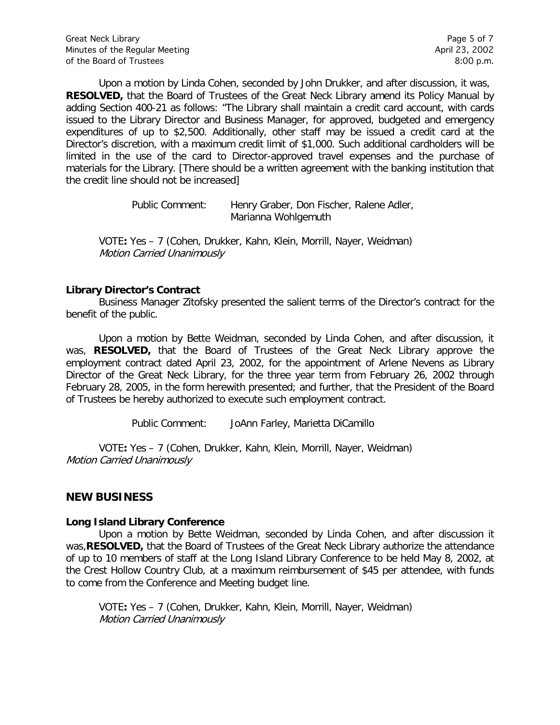Upon a motion by Linda Cohen, seconded by John Drukker, and after discussion, it was, **RESOLVED,** that the Board of Trustees of the Great Neck Library amend its Policy Manual by adding Section 400-21 as follows: "The Library shall maintain a credit card account, with cards issued to the Library Director and Business Manager, for approved, budgeted and emergency expenditures of up to \$2,500. Additionally, other staff may be issued a credit card at the Director's discretion, with a maximum credit limit of \$1,000. Such additional cardholders will be limited in the use of the card to Director-approved travel expenses and the purchase of materials for the Library. [There should be a written agreement with the banking institution that the credit line should not be increased]

> Public Comment: Henry Graber, Don Fischer, Ralene Adler, Marianna Wohlgemuth

VOTE**:** Yes – 7 (Cohen, Drukker, Kahn, Klein, Morrill, Nayer, Weidman) Motion Carried Unanimously

### **Library Director's Contract**

Business Manager Zitofsky presented the salient terms of the Director's contract for the benefit of the public.

Upon a motion by Bette Weidman, seconded by Linda Cohen, and after discussion, it was, **RESOLVED,** that the Board of Trustees of the Great Neck Library approve the employment contract dated April 23, 2002, for the appointment of Arlene Nevens as Library Director of the Great Neck Library, for the three year term from February 26, 2002 through February 28, 2005, in the form herewith presented; and further, that the President of the Board of Trustees be hereby authorized to execute such employment contract.

Public Comment: JoAnn Farley, Marietta DiCamillo

VOTE**:** Yes – 7 (Cohen, Drukker, Kahn, Klein, Morrill, Nayer, Weidman) Motion Carried Unanimously

# **NEW BUSINESS**

#### **Long Island Library Conference**

Upon a motion by Bette Weidman, seconded by Linda Cohen, and after discussion it was,**RESOLVED,** that the Board of Trustees of the Great Neck Library authorize the attendance of up to 10 members of staff at the Long Island Library Conference to be held May 8, 2002, at the Crest Hollow Country Club, at a maximum reimbursement of \$45 per attendee, with funds to come from the Conference and Meeting budget line.

VOTE**:** Yes – 7 (Cohen, Drukker, Kahn, Klein, Morrill, Nayer, Weidman) Motion Carried Unanimously